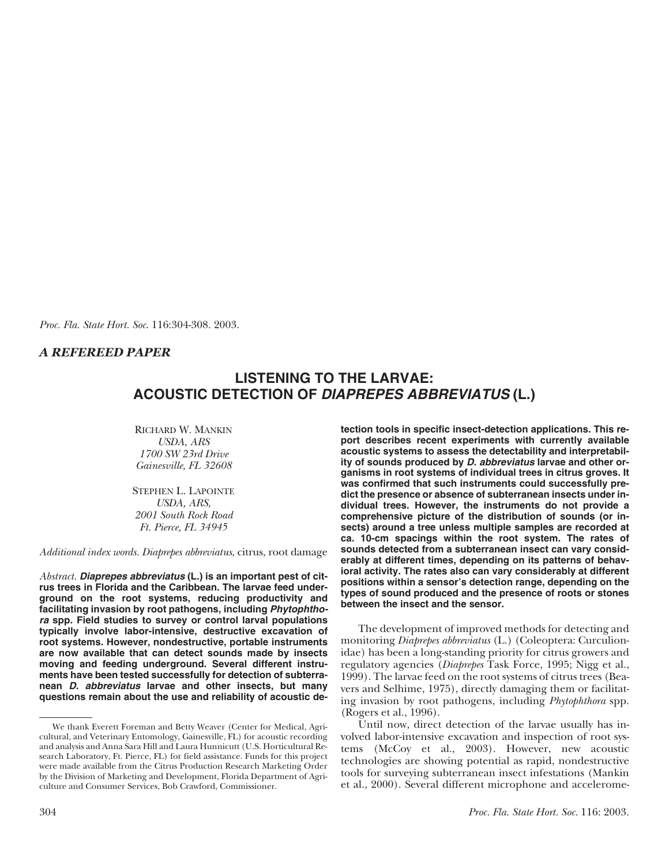*Proc. Fla. State Hort. Soc*. 116:304-308. 2003.

# *A REFEREED PAPER*

# **LISTENING TO THE LARVAE: ACOUSTIC DETECTION OF** *DIAPREPES ABBREVIATUS* **(L.)**

RICHARD W. MANKIN *USDA, ARS 1700 SW 23rd Drive Gainesville, FL 32608*

STEPHEN L. LAPOINTE *USDA, ARS, 2001 South Rock Road Ft. Pierce, FL 34945*

*Additional index words. Diaprepes abbreviatus*, citrus, root damage

*Abstract. Diaprepes abbreviatus* **(L.) is an important pest of citrus trees in Florida and the Caribbean. The larvae feed underground on the root systems, reducing productivity and facilitating invasion by root pathogens, including** *Phytophthora* **spp. Field studies to survey or control larval populations typically involve labor-intensive, destructive excavation of root systems. However, nondestructive, portable instruments are now available that can detect sounds made by insects moving and feeding underground. Several different instruments have been tested successfully for detection of subterranean** *D. abbreviatus* **larvae and other insects, but many questions remain about the use and reliability of acoustic de-** **tection tools in specific insect-detection applications. This report describes recent experiments with currently available acoustic systems to assess the detectability and interpretability of sounds produced by** *D. abbreviatus* **larvae and other organisms in root systems of individual trees in citrus groves. It was confirmed that such instruments could successfully predict the presence or absence of subterranean insects under individual trees. However, the instruments do not provide a comprehensive picture of the distribution of sounds (or insects) around a tree unless multiple samples are recorded at ca. 10-cm spacings within the root system. The rates of sounds detected from a subterranean insect can vary considerably at different times, depending on its patterns of behavioral activity. The rates also can vary considerably at different positions within a sensor's detection range, depending on the types of sound produced and the presence of roots or stones between the insect and the sensor.**

The development of improved methods for detecting and monitoring *Diaprepes abbreviatus* (L.) (Coleoptera: Curculionidae) has been a long-standing priority for citrus growers and regulatory agencies (*Diaprepes* Task Force, 1995; Nigg et al., 1999). The larvae feed on the root systems of citrus trees (Beavers and Selhime, 1975), directly damaging them or facilitating invasion by root pathogens, including *Phytophthora* spp. (Rogers et al., 1996).

Until now, direct detection of the larvae usually has involved labor-intensive excavation and inspection of root systems (McCoy et al., 2003). However, new acoustic technologies are showing potential as rapid, nondestructive tools for surveying subterranean insect infestations (Mankin et al., 2000). Several different microphone and accelerome-

We thank Everett Foreman and Betty Weaver (Center for Medical, Agricultural, and Veterinary Entomology, Gainesville, FL) for acoustic recording and analysis and Anna Sara Hill and Laura Hunnicutt (U.S. Horticultural Research Laboratory, Ft. Pierce, FL) for field assistance. Funds for this project were made available from the Citrus Production Research Marketing Order by the Division of Marketing and Development, Florida Department of Agriculture and Consumer Services, Bob Crawford, Commissioner.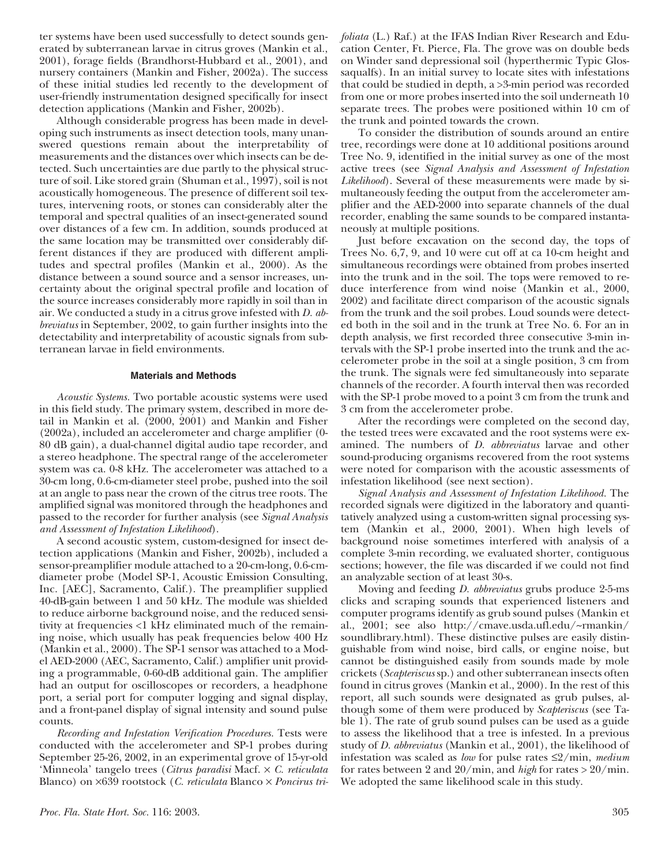ter systems have been used successfully to detect sounds generated by subterranean larvae in citrus groves (Mankin et al., 2001), forage fields (Brandhorst-Hubbard et al., 2001), and nursery containers (Mankin and Fisher, 2002a). The success of these initial studies led recently to the development of user-friendly instrumentation designed specifically for insect detection applications (Mankin and Fisher, 2002b).

Although considerable progress has been made in developing such instruments as insect detection tools, many unanswered questions remain about the interpretability of measurements and the distances over which insects can be detected. Such uncertainties are due partly to the physical structure of soil. Like stored grain (Shuman et al., 1997), soil is not acoustically homogeneous. The presence of different soil textures, intervening roots, or stones can considerably alter the temporal and spectral qualities of an insect-generated sound over distances of a few cm. In addition, sounds produced at the same location may be transmitted over considerably different distances if they are produced with different amplitudes and spectral profiles (Mankin et al., 2000). As the distance between a sound source and a sensor increases, uncertainty about the original spectral profile and location of the source increases considerably more rapidly in soil than in air. We conducted a study in a citrus grove infested with *D. abbreviatus* in September, 2002, to gain further insights into the detectability and interpretability of acoustic signals from subterranean larvae in field environments.

## **Materials and Methods**

*Acoustic Systems.* Two portable acoustic systems were used in this field study. The primary system, described in more detail in Mankin et al. (2000, 2001) and Mankin and Fisher (2002a), included an accelerometer and charge amplifier (0- 80 dB gain), a dual-channel digital audio tape recorder, and a stereo headphone. The spectral range of the accelerometer system was ca. 0-8 kHz. The accelerometer was attached to a 30-cm long, 0.6-cm-diameter steel probe, pushed into the soil at an angle to pass near the crown of the citrus tree roots. The amplified signal was monitored through the headphones and passed to the recorder for further analysis (see *Signal Analysis and Assessment of Infestation Likelihood*).

A second acoustic system, custom-designed for insect detection applications (Mankin and Fisher, 2002b), included a sensor-preamplifier module attached to a 20-cm-long, 0.6-cmdiameter probe (Model SP-1, Acoustic Emission Consulting, Inc. [AEC], Sacramento, Calif.). The preamplifier supplied 40-dB-gain between 1 and 50 kHz. The module was shielded to reduce airborne background noise, and the reduced sensitivity at frequencies <1 kHz eliminated much of the remaining noise, which usually has peak frequencies below 400 Hz (Mankin et al., 2000). The SP-1 sensor was attached to a Model AED-2000 (AEC, Sacramento, Calif.) amplifier unit providing a programmable, 0-60-dB additional gain. The amplifier had an output for oscilloscopes or recorders, a headphone port, a serial port for computer logging and signal display, and a front-panel display of signal intensity and sound pulse counts.

*Recording and Infestation Verification Procedures.* Tests were conducted with the accelerometer and SP-1 probes during September 25-26, 2002, in an experimental grove of 15-yr-old 'Minneola' tangelo trees (*Citrus paradisi* Macf. × *C. reticulata* Blanco) on ×639 rootstock (*C. reticulata* Blanco × *Poncirus tri-* *foliata* (L.) Raf.) at the IFAS Indian River Research and Education Center, Ft. Pierce, Fla. The grove was on double beds on Winder sand depressional soil (hyperthermic Typic Glossaqualfs). In an initial survey to locate sites with infestations that could be studied in depth, a >3-min period was recorded from one or more probes inserted into the soil underneath 10 separate trees. The probes were positioned within 10 cm of the trunk and pointed towards the crown.

To consider the distribution of sounds around an entire tree, recordings were done at 10 additional positions around Tree No. 9, identified in the initial survey as one of the most active trees (see *Signal Analysis and Assessment of Infestation Likelihood*). Several of these measurements were made by simultaneously feeding the output from the accelerometer amplifier and the AED-2000 into separate channels of the dual recorder, enabling the same sounds to be compared instantaneously at multiple positions.

Just before excavation on the second day, the tops of Trees No. 6,7, 9, and 10 were cut off at ca 10-cm height and simultaneous recordings were obtained from probes inserted into the trunk and in the soil. The tops were removed to reduce interference from wind noise (Mankin et al., 2000, 2002) and facilitate direct comparison of the acoustic signals from the trunk and the soil probes. Loud sounds were detected both in the soil and in the trunk at Tree No. 6. For an in depth analysis, we first recorded three consecutive 3-min intervals with the SP-1 probe inserted into the trunk and the accelerometer probe in the soil at a single position, 3 cm from the trunk. The signals were fed simultaneously into separate channels of the recorder. A fourth interval then was recorded with the SP-1 probe moved to a point 3 cm from the trunk and 3 cm from the accelerometer probe.

After the recordings were completed on the second day, the tested trees were excavated and the root systems were examined. The numbers of *D. abbreviatus* larvae and other sound-producing organisms recovered from the root systems were noted for comparison with the acoustic assessments of infestation likelihood (see next section).

*Signal Analysis and Assessment of Infestation Likelihood.* The recorded signals were digitized in the laboratory and quantitatively analyzed using a custom-written signal processing system (Mankin et al., 2000, 2001). When high levels of background noise sometimes interfered with analysis of a complete 3-min recording, we evaluated shorter, contiguous sections; however, the file was discarded if we could not find an analyzable section of at least 30-s.

Moving and feeding *D. abbreviatus* grubs produce 2-5-ms clicks and scraping sounds that experienced listeners and computer programs identify as grub sound pulses (Mankin et al., 2001; see also http://cmave.usda.ufl.edu/~rmankin/ soundlibrary.html). These distinctive pulses are easily distinguishable from wind noise, bird calls, or engine noise, but cannot be distinguished easily from sounds made by mole crickets (*Scapteriscus* sp.) and other subterranean insects often found in citrus groves (Mankin et al., 2000). In the rest of this report, all such sounds were designated as grub pulses, although some of them were produced by *Scapteriscus* (see Table 1). The rate of grub sound pulses can be used as a guide to assess the likelihood that a tree is infested. In a previous study of *D. abbreviatus* (Mankin et al., 2001), the likelihood of infestation was scaled as *low* for pulse rates ≤2/min, *medium* for rates between 2 and 20/min, and *high* for rates > 20/min. We adopted the same likelihood scale in this study.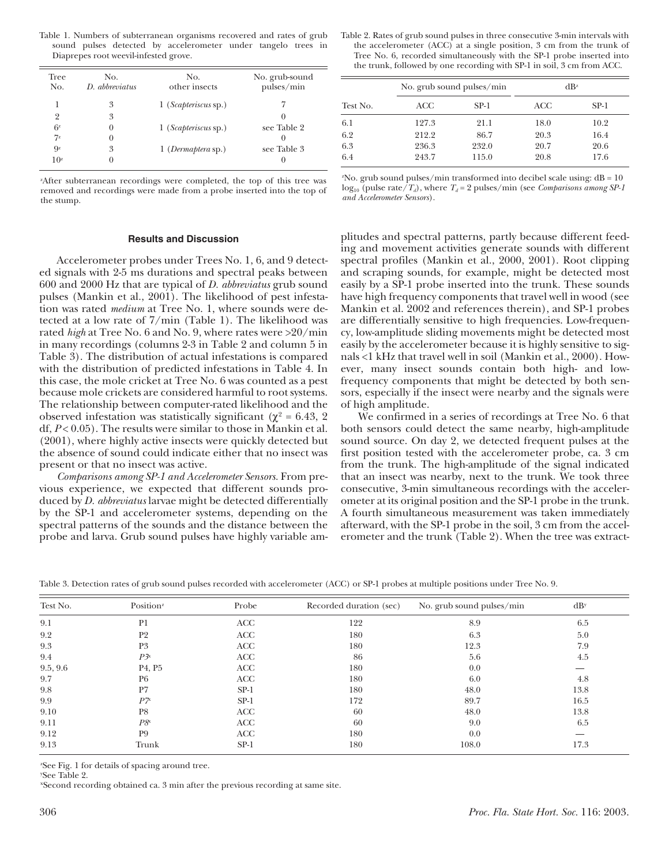Table 1. Numbers of subterranean organisms recovered and rates of grub sound pulses detected by accelerometer under tangelo trees in Diaprepes root weevil-infested grove.

| Tree<br>No.               | No.<br>D. abbreviatus | No.<br>other insects         | No. grub-sound<br>pulses/min |
|---------------------------|-----------------------|------------------------------|------------------------------|
|                           | 3                     | 1 ( <i>Scapteriscus</i> sp.) |                              |
| 2                         | 3                     |                              | $\left( \right)$             |
| 6z                        | $\theta$              | 1 ( <i>Scapteriscus</i> sp.) | see Table 2                  |
| $7^z$                     | 0                     |                              | $\theta$                     |
| $\mathbf{Q}^{\mathbf{z}}$ | 3                     | $1$ (Dermaptera sp.)         | see Table 3                  |
| 10 <sup>z</sup>           | $\theta$              |                              | 0                            |

z After subterranean recordings were completed, the top of this tree was removed and recordings were made from a probe inserted into the top of the stump.

### **Results and Discussion**

Accelerometer probes under Trees No. 1, 6, and 9 detected signals with 2-5 ms durations and spectral peaks between 600 and 2000 Hz that are typical of *D. abbreviatus* grub sound pulses (Mankin et al., 2001). The likelihood of pest infestation was rated *medium* at Tree No. 1, where sounds were detected at a low rate of 7/min (Table 1). The likelihood was rated *high* at Tree No. 6 and No. 9, where rates were >20/min in many recordings (columns 2-3 in Table 2 and column 5 in Table 3). The distribution of actual infestations is compared with the distribution of predicted infestations in Table 4. In this case, the mole cricket at Tree No. 6 was counted as a pest because mole crickets are considered harmful to root systems. The relationship between computer-rated likelihood and the observed infestation was statistically significant ( $χ² = 6.43, 2$ ) df, *P* < 0.05). The results were similar to those in Mankin et al. (2001), where highly active insects were quickly detected but the absence of sound could indicate either that no insect was present or that no insect was active.

*Comparisons among SP-1 and Accelerometer Sensors.* From previous experience, we expected that different sounds produced by *D. abbreviatus* larvae might be detected differentially by the SP-1 and accelerometer systems, depending on the spectral patterns of the sounds and the distance between the probe and larva. Grub sound pulses have highly variable am-

Table 2. Rates of grub sound pulses in three consecutive 3-min intervals with the accelerometer (ACC) at a single position, 3 cm from the trunk of Tree No. 6, recorded simultaneously with the SP-1 probe inserted into the trunk, followed by one recording with SP-1 in soil, 3 cm from ACC.

| Test No. |       | No. grub sound pulses/min |      | $dB^z$ |
|----------|-------|---------------------------|------|--------|
|          | ACC   | $SP-1$                    | ACC  | SP-1   |
| 6.1      | 127.3 | 21.1                      | 18.0 | 10.2   |
| 6.2      | 212.2 | 86.7                      | 20.3 | 16.4   |
| 6.3      | 236.3 | 232.0                     | 20.7 | 20.6   |
| 6.4      | 243.7 | 115.0                     | 20.8 | 17.6   |

 $^{2}$ No. grub sound pulses/min transformed into decibel scale using:  $dB = 10$  $\log_{10}$  (pulse rate/*T<sub>d</sub>*), where *T<sub>d</sub>* = 2 pulses/min (see *Comparisons among SP-1 and Accelerometer Sensors*).

plitudes and spectral patterns, partly because different feeding and movement activities generate sounds with different spectral profiles (Mankin et al., 2000, 2001). Root clipping and scraping sounds, for example, might be detected most easily by a SP-1 probe inserted into the trunk. These sounds have high frequency components that travel well in wood (see Mankin et al. 2002 and references therein), and SP-1 probes are differentially sensitive to high frequencies. Low-frequency, low-amplitude sliding movements might be detected most easily by the accelerometer because it is highly sensitive to signals <1 kHz that travel well in soil (Mankin et al., 2000). However, many insect sounds contain both high- and lowfrequency components that might be detected by both sensors, especially if the insect were nearby and the signals were of high amplitude.

We confirmed in a series of recordings at Tree No. 6 that both sensors could detect the same nearby, high-amplitude sound source. On day 2, we detected frequent pulses at the first position tested with the accelerometer probe, ca. 3 cm from the trunk. The high-amplitude of the signal indicated that an insect was nearby, next to the trunk. We took three consecutive, 3-min simultaneous recordings with the accelerometer at its original position and the SP-1 probe in the trunk. A fourth simultaneous measurement was taken immediately afterward, with the SP-1 probe in the soil, 3 cm from the accelerometer and the trunk (Table 2). When the tree was extract-

Table 3. Detection rates of grub sound pulses recorded with accelerometer (ACC) or SP-1 probes at multiple positions under Tree No. 9.

| Test No. | Position <sup>z</sup>           | Probe  | Recorded duration (sec) | No. grub sound pulses/min | dB <sub>y</sub> |  |
|----------|---------------------------------|--------|-------------------------|---------------------------|-----------------|--|
| 9.1      | P <sub>1</sub>                  | ACC    | 122                     | 8.9                       | 6.5             |  |
| 9.2      | P <sub>2</sub>                  | ACC    | 180                     | 6.3                       | 5.0             |  |
| 9.3      | P <sub>3</sub>                  | ACC    | 180                     | 12.3                      | 7.9             |  |
| 9.4      | $P3^x$                          | ACC    | 86                      | 5.6                       | 4.5             |  |
| 9.5, 9.6 | P <sub>4</sub> , P <sub>5</sub> | ACC    | 180                     | 0.0                       |                 |  |
| 9.7      | P <sub>6</sub>                  | ACC    | 180                     | 6.0                       | 4.8             |  |
| 9.8      | P7                              | $SP-1$ | 180                     | 48.0                      | 13.8            |  |
| 9.9      | $P\overline{\gamma}$            | $SP-1$ | 172                     | 89.7                      | 16.5            |  |
| 9.10     | P8                              | ACC    | 60                      | 48.0                      | 13.8            |  |
| 9.11     | $P8^x$                          | ACC    | 60                      | 9.0                       | 6.5             |  |
| 9.12     | P <sub>9</sub>                  | ACC    | 180                     | 0.0                       |                 |  |
| 9.13     | Trunk                           | $SP-1$ | 180                     | 108.0                     | 17.3            |  |

z See Fig. 1 for details of spacing around tree.

y See Table 2.

xSecond recording obtained ca. 3 min after the previous recording at same site.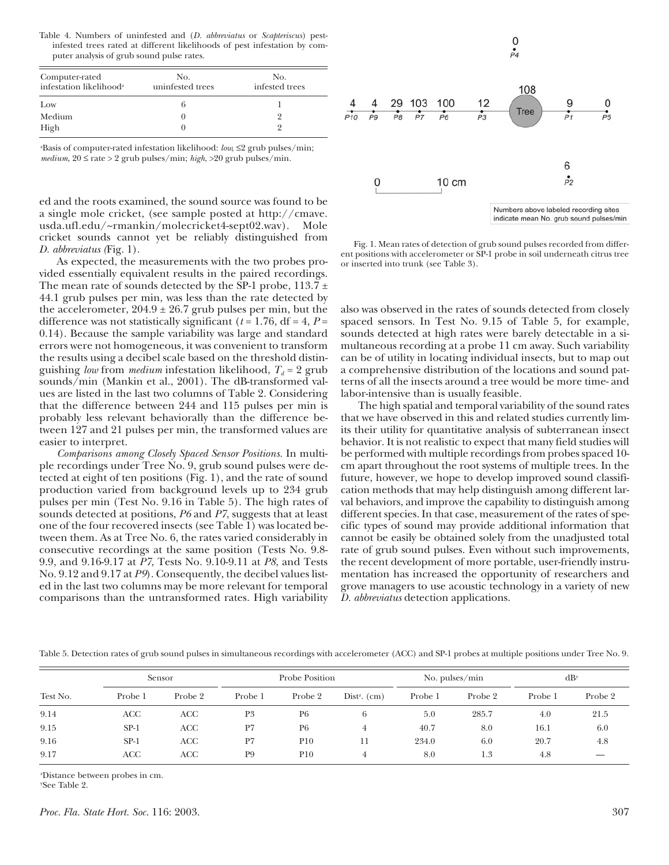Table 4. Numbers of uninfested and (*D. abbreviatus* or *Scapteriscus*) pestinfested trees rated at different likelihoods of pest infestation by computer analysis of grub sound pulse rates.

| Computer-rated<br>infestation likelihood <sup>z</sup> | No.<br>uninfested trees | No.<br>infested trees |  |  |
|-------------------------------------------------------|-------------------------|-----------------------|--|--|
| Low                                                   |                         |                       |  |  |
| Medium                                                |                         |                       |  |  |
| High                                                  |                         |                       |  |  |

z Basis of computer-rated infestation likelihood: *low*, ≤2 grub pulses/min; *medium*, 20 ≤ rate > 2 grub pulses/min; *high*, >20 grub pulses/min.

ed and the roots examined, the sound source was found to be a single mole cricket, (see sample posted at http://cmave. usda.ufl.edu/~rmankin/molecricket4-sept02.wav). Mole cricket sounds cannot yet be reliably distinguished from *D. abbreviatus (*Fig. 1).

As expected, the measurements with the two probes provided essentially equivalent results in the paired recordings. The mean rate of sounds detected by the SP-1 probe,  $113.7 \pm$ 44.1 grub pulses per min, was less than the rate detected by the accelerometer,  $204.9 \pm 26.7$  grub pulses per min, but the difference was not statistically significant ( $t = 1.76$ , df = 4,  $P =$ 0.14). Because the sample variability was large and standard errors were not homogeneous, it was convenient to transform the results using a decibel scale based on the threshold distinguishing *low* from *medium* infestation likelihood,  $T_d = 2$  grub sounds/min (Mankin et al., 2001). The dB-transformed values are listed in the last two columns of Table 2. Considering that the difference between 244 and 115 pulses per min is probably less relevant behaviorally than the difference between 127 and 21 pulses per min, the transformed values are easier to interpret.

*Comparisons among Closely Spaced Sensor Positions.* In multiple recordings under Tree No. 9, grub sound pulses were detected at eight of ten positions (Fig. 1), and the rate of sound production varied from background levels up to 234 grub pulses per min (Test No. 9.16 in Table 5). The high rates of sounds detected at positions, *P6* and *P7*, suggests that at least one of the four recovered insects (see Table 1) was located between them. As at Tree No. 6, the rates varied considerably in consecutive recordings at the same position (Tests No. 9.8- 9.9, and 9.16-9.17 at *P7*, Tests No. 9.10-9.11 at *P8*, and Tests No. 9.12 and 9.17 at *P9*). Consequently, the decibel values listed in the last two columns may be more relevant for temporal comparisons than the untransformed rates. High variability



Fig. 1. Mean rates of detection of grub sound pulses recorded from different positions with accelerometer or SP-1 probe in soil underneath citrus tree or inserted into trunk (see Table 3).

also was observed in the rates of sounds detected from closely spaced sensors. In Test No. 9.15 of Table 5, for example, sounds detected at high rates were barely detectable in a simultaneous recording at a probe 11 cm away. Such variability can be of utility in locating individual insects, but to map out a comprehensive distribution of the locations and sound patterns of all the insects around a tree would be more time- and labor-intensive than is usually feasible.

The high spatial and temporal variability of the sound rates that we have observed in this and related studies currently limits their utility for quantitative analysis of subterranean insect behavior. It is not realistic to expect that many field studies will be performed with multiple recordings from probes spaced 10 cm apart throughout the root systems of multiple trees. In the future, however, we hope to develop improved sound classification methods that may help distinguish among different larval behaviors, and improve the capability to distinguish among different species. In that case, measurement of the rates of specific types of sound may provide additional information that cannot be easily be obtained solely from the unadjusted total rate of grub sound pulses. Even without such improvements, the recent development of more portable, user-friendly instrumentation has increased the opportunity of researchers and grove managers to use acoustic technology in a variety of new *D. abbreviatus* detection applications.

Table 5. Detection rates of grub sound pulses in simultaneous recordings with accelerometer (ACC) and SP-1 probes at multiple positions under Tree No. 9.

|          | Sensor  |         | Probe Position |                | No. pulses/min             |         | dB <sub>y</sub> |         |         |
|----------|---------|---------|----------------|----------------|----------------------------|---------|-----------------|---------|---------|
| Test No. | Probe 1 | Probe 2 | Probe 1        | Probe 2        | Dist <sup>z</sup> . $(cm)$ | Probe 1 | Probe 2         | Probe 1 | Probe 2 |
| 9.14     | ACC     | ACC     | P <sub>3</sub> | P <sub>6</sub> | 6                          | 5.0     | 285.7           | 4.0     | 21.5    |
| 9.15     | $SP-1$  | ACC     | P7             | P <sub>6</sub> |                            | 40.7    | 8.0             | 16.1    | 6.0     |
| 9.16     | $SP-1$  | ACC     | P7             | <b>P10</b>     | 11                         | 234.0   | 6.0             | 20.7    | 4.8     |
| 9.17     | ACC     | ACC     | P <sub>9</sub> | <b>P10</b>     |                            | 8.0     | 1.3             | 4.8     |         |

z Distance between probes in cm.

y See Table 2.